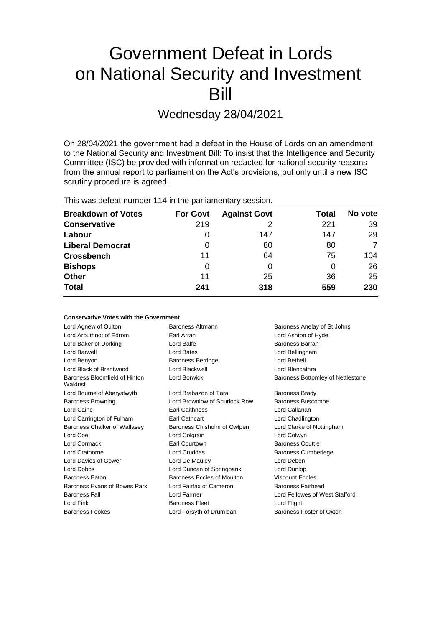# Government Defeat in Lords on National Security and Investment Bill

Wednesday 28/04/2021

On 28/04/2021 the government had a defeat in the House of Lords on an amendment to the National Security and Investment Bill: To insist that the Intelligence and Security Committee (ISC) be provided with information redacted for national security reasons from the annual report to parliament on the Act's provisions, but only until a new ISC scrutiny procedure is agreed.

**Conservative Votes with the Government**

| <b>Breakdown of Votes</b> | <b>For Govt</b> | <b>Against Govt</b> | Total | No vote |
|---------------------------|-----------------|---------------------|-------|---------|
| <b>Conservative</b>       | 219             |                     | 221   | 39      |
| Labour                    | O               | 147                 | 147   | 29      |
| <b>Liberal Democrat</b>   | 0               | 80                  | 80    | 7       |
| <b>Crossbench</b>         | 11              | 64                  | 75    | 104     |
| <b>Bishops</b>            | 0               |                     | 0     | 26      |
| <b>Other</b>              | 11              | 25                  | 36    | 25      |
| <b>Total</b>              | 241             | 318                 | 559   | 230     |

| CONSERVATIVE VOLES WILLI LITE OUVERNITEIIL |                                                 |                                   |  |
|--------------------------------------------|-------------------------------------------------|-----------------------------------|--|
| Lord Agnew of Oulton                       | Baroness Altmann<br>Baroness Anelay of St Johns |                                   |  |
| Lord Arbuthnot of Edrom                    | Earl Arran                                      | Lord Ashton of Hyde               |  |
| Lord Baker of Dorking                      | Lord Balfe                                      | <b>Baroness Barran</b>            |  |
| Lord Barwell                               | Lord Bates                                      | Lord Bellingham                   |  |
| Lord Benyon                                | <b>Baroness Berridge</b>                        | Lord Bethell                      |  |
| Lord Black of Brentwood                    | Lord Blackwell                                  | Lord Blencathra                   |  |
| Baroness Bloomfield of Hinton<br>Waldrist  | Lord Borwick                                    | Baroness Bottomley of Nettlestone |  |
| Lord Bourne of Aberystwyth                 | Lord Brabazon of Tara                           | <b>Baroness Brady</b>             |  |
| <b>Baroness Browning</b>                   | Lord Brownlow of Shurlock Row                   | Baroness Buscombe                 |  |
| Lord Caine                                 | <b>Earl Caithness</b>                           | Lord Callanan                     |  |
| Lord Carrington of Fulham                  | <b>Earl Cathcart</b>                            | Lord Chadlington                  |  |
| Baroness Chalker of Wallasey               | Baroness Chisholm of Owlpen                     | Lord Clarke of Nottingham         |  |
| Lord Coe                                   | Lord Colgrain                                   | Lord Colwyn                       |  |
| Lord Cormack                               | Earl Courtown                                   | <b>Baroness Couttie</b>           |  |
| Lord Crathorne                             | Lord Cruddas                                    | <b>Baroness Cumberlege</b>        |  |
| Lord Davies of Gower                       | Lord De Mauley                                  | Lord Deben                        |  |
| Lord Dobbs                                 | Lord Duncan of Springbank                       | Lord Dunlop                       |  |
| <b>Baroness Eaton</b>                      | Baroness Eccles of Moulton                      | <b>Viscount Eccles</b>            |  |
| Baroness Evans of Bowes Park               | Lord Fairfax of Cameron                         | Baroness Fairhead                 |  |
| <b>Baroness Fall</b>                       | Lord Farmer                                     | Lord Fellowes of West Stafford    |  |
| Lord Fink                                  | <b>Baroness Fleet</b>                           | Lord Flight                       |  |
| <b>Baroness Fookes</b>                     | Lord Forsyth of Drumlean                        | Baroness Foster of Oxton          |  |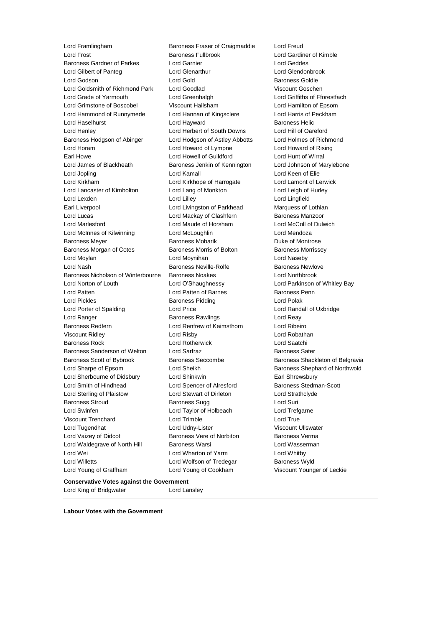Lord Framlingham Baroness Fraser of Craigmaddie Lord Freud Lord Frost Baroness Fullbrook Lord Gardiner of Kimble Baroness Gardner of Parkes Lord Garnier Lord Gilbert of Panteg Lord Glenarthur Lord Glendonbrook Lord Godson Lord Gold Baroness Goldie Lord Goldsmith of Richmond Park Lord Goodlad Viscount Goschen Lord Grade of Yarmouth Lord Greenhalgh Lord Griffiths of Fforestfach Lord Grimstone of Boscobel Viscount Hailsham Lord Hamilton of Epsom Lord Hammond of Runnymede Lord Hannan of Kingsclere Lord Harris of Peckham Lord Haselhurst **Lord Hayward** Communication Communication Communication Communication Communication Communication Lord Henley Lord Herbert of South Downs Lord Hill of Oareford Baroness Hodgson of Abinger Lord Hodgson of Astley Abbotts Lord Holmes of Richmond Lord Horam Lord Howard of Lympne Lord Howard of Rising Earl Howe Lord Howell of Guildford Lord Hunt of Wirral Lord James of Blackheath Baroness Jenkin of Kennington Lord Johnson of Marylebone Lord Jopling Lord Kamall Lord Keen of Elie Lord Kirkham Lord Kirkhope of Harrogate Lord Lamont of Lerwick Lord Lancaster of Kimbolton Lord Lang of Monkton Lord Leigh of Hurley Lord Lexden Lord Lilley Lord Lingfield Earl Liverpool Lord Livingston of Parkhead Marquess of Lothian Lord Lucas **Lord Mackay of Clashfern** Baroness Manzoor Lord Marlesford Lord Maude of Horsham Lord McColl of Dulwich Lord McInnes of Kilwinning Lord McLoughlin Lord Mendoza Baroness Meyer **Baroness Mobarik Communist Communist Communist Communist Communist Communist Communist Communist Communist Communist Communist Communist Communist Communist Communist Communist Communist Communist Communist** Baroness Morgan of Cotes **Baroness Morris of Bolton** Baroness Morrissey Lord Moylan Lord Moynihan Lord Naseby Lord Nash **Baroness Neville-Rolfe** Baroness Newlove Baroness Nicholson of Winterbourne Baroness Noakes Lord Northbrook Lord Norton of Louth Lord O'Shaughnessy Lord Parkinson of Whitley Bay Lord Patten Lord Patten of Barnes Baroness Penn Lord Pickles **Baroness Pidding Lord Polak** Lord Polak Lord Porter of Spalding Lord Price Lord Randall of Uxbridge Lord Ranger **Baroness Rawlings** Lord Reay Baroness Redfern Lord Renfrew of Kaimsthorn Lord Ribeiro Viscount Ridley Lord Risby Lord Robathan Baroness Rock Lord Rotherwick Lord Saatchi Baroness Sanderson of Welton Lord Sarfraz **Baroness Sater** Baroness Sater Baroness Scott of Bybrook Baroness Seccombe Baroness Shackleton of Belgravia Lord Sharpe of Epsom Lord Sheikh Baroness Shephard of Northwold Lord Sherbourne of Didsbury Lord Shinkwin **Earl Shinkwin** Earl Shrewsbury Lord Smith of Hindhead Lord Spencer of Alresford Baroness Stedman-Scott Lord Sterling of Plaistow Lord Stewart of Dirleton Lord Strathclyde Baroness Stroud **Baroness Sugg Community** Baroness Sugg Community Lord Suri Lord Swinfen **Lord Taylor of Holbeach** Lord Trefgarne Viscount Trenchard Lord Trimble Lord True Lord Tugendhat **Lord Udny-Lister** Corresponding Viscount Ullswater Lord Vaizey of Didcot **Baroness Vere of Norbiton** Baroness Verma Lord Waldegrave of North Hill Baroness Warsi **Lord Wasserman** Lord Wei Lord Wharton of Yarm Lord Whitby Lord Willetts **Lord Wolfson of Tredegar** Baroness Wyld Lord Young of Graffham Lord Young of Cookham Viscount Younger of Leckie

**Conservative Votes against the Government** Lord King of Bridgwater **Lord Lansley** 

**Labour Votes with the Government**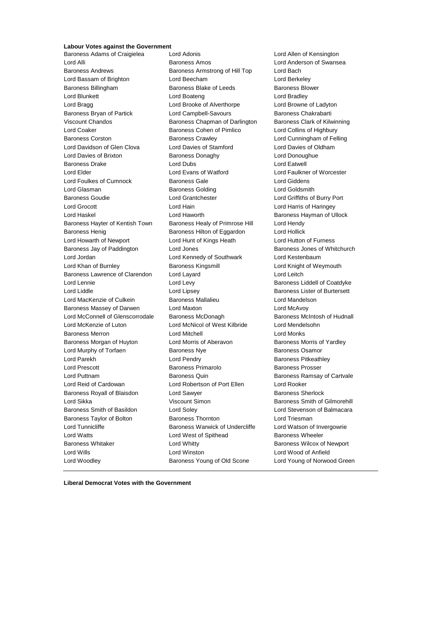# **Labour Votes against the Government**<br>Baroness Adams of Craigielea Lord Adonis

Baroness Adams of Craigielea Lord Adonis Lord Allen of Kensington Lord Alli Baroness Amos Lord Anderson of Swansea Baroness Andrews **Baroness Armstrong of Hill Top** Lord Bach Lord Bassam of Brighton Lord Beecham Lord Berkeley Baroness Billingham Baroness Blake of Leeds Baroness Blower Lord Blunkett Lord Boateng Lord Bradley Lord Bragg **Lord Brooke of Alverthorpe** Lord Browne of Ladyton Baroness Bryan of Partick **Lord Campbell-Savours** Baroness Chakrabarti Viscount Chandos **Baroness Chapman of Darlington** Baroness Clark of Kilwinning Lord Coaker Baroness Cohen of Pimlico Lord Collins of Highbury Baroness Corston Baroness Crawley Lord Cunningham of Felling Lord Davidson of Glen Clova Lord Davies of Stamford Lord Davies of Oldham Lord Davies of Brixton Baroness Donaghy Lord Donoughue Baroness Drake Lord Dubs Lord Dubs Lord Eatwell Lord Elder Lord Evans of Watford Lord Faulkner of Worcester Lord Foulkes of Cumnock Baroness Gale Lord Giddens Lord Glasman Baroness Golding Lord Goldsmith Baroness Goudie Lord Grantchester Lord Griffiths of Burry Port Lord Grocott Lord Hain Lord Harris of Haringey Lord Haskel **Lord Haworth Baroness Hayman of Ullock** Baroness Hayter of Kentish Town Baroness Healy of Primrose Hill Lord Hendy Baroness Henig **Baroness Hilton of Eggardon** Lord Hollick Lord Howarth of Newport Lord Hunt of Kings Heath Lord Hutton of Furness Baroness Jay of Paddington **Lord Jones Baroness Jones of Whitchurch** Baroness Jones of Whitchurch Lord Jordan Lord Kennedy of Southwark Lord Kestenbaum Lord Khan of Burnley **Baroness Kingsmill Lord Knight of Weymouth** Cord Knight of Weymouth Baroness Lawrence of Clarendon Lord Layard Lord Leitch Lord Lennie Lord Levy Baroness Liddell of Coatdyke Lord Liddle Lord Lipsey Baroness Lister of Burtersett Lord MacKenzie of Culkein Baroness Mallalieu Lord Mandelson Baroness Massey of Darwen Lord Maxton Lord McAvoy Lord McConnell of Glenscorrodale Baroness McDonagh Baroness Mc Baroness McIntosh of Hudnall Lord McKenzie of Luton Lord McNicol of West Kilbride Lord Mendelsohn Baroness Merron Lord Mitchell Lord Monks Baroness Morgan of Huyton Lord Morris of Aberavon Baroness Morris of Yardley Lord Murphy of Torfaen **Baroness Nye** Baroness Osamor Lord Parekh Lord Pendry Baroness Pitkeathley Lord Prescott **Baroness Primarolo** Baroness Prosser Lord Puttnam Baroness Quin Baroness Ramsay of Cartvale Lord Reid of Cardowan Lord Robertson of Port Ellen Lord Rooker Baroness Royall of Blaisdon Lord Sawyer **Baroness Sherlock** Baroness Sherlock Lord Sikka **Viscount Simon** Baroness Smith of Gilmorehill **Communist Servers** Smith of Gilmorehill Baroness Smith of Basildon Lord Soley Lord Stevenson of Balmacara Baroness Taylor of Bolton **Baroness Thornton Baroness Thornton** Lord Triesman Lord Tunnicliffe **Baroness Warwick of Undercliffe** Lord Watson of Invergowrie Lord Watts **Lord West of Spithead** Baroness Wheeler Baroness Whitaker **Lord Whitty Lord Whitty Baroness Wilcox of Newport** Lord Wills Lord Winston Lord Wood of Anfield Lord Woodley **Baroness Young of Old Scone** Lord Young of Norwood Green

**Liberal Democrat Votes with the Government**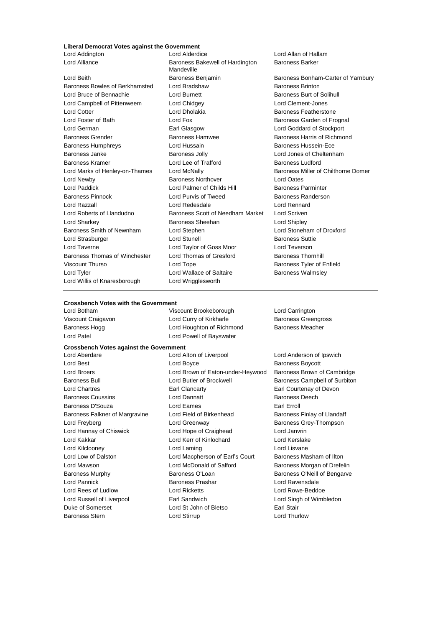#### **Liberal Democrat Votes against the Government**

Baroness Bowles of Berkhamsted Lord Bradshaw Baroness Brinton Lord Bruce of Bennachie **Lord Burnett** Lord Burnett **Baroness Burt of Solihull** Lord Campbell of Pittenweem Lord Chidgey Lord Clement-Jones Lord Cotter Lord Dholakia Baroness Featherstone Lord Foster of Bath **Lord Fox** Lord Fox Baroness Garden of Frognal<br>
Farl Glasgow **Baroness Garden of Stockport** Baroness Grender **Baroness Hamwee** Baroness Hamwee Baroness Harris of Richmond Baroness Humphreys **Lord Hussain Baroness Hussein-Ece** Baroness Janke **Baroness Jolly** Baroness Jolly **Lord Jones of Cheltenham** Baroness Kramer **Represents Ludford** Lord Lee of Trafford **Baroness Ludford** Baroness Ludford Lord Marks of Henley-on-Thames Lord McNally **Baroness Miller of Chilthorne Domer** Lord Newby Baroness Northover Lord Oates Lord Paddick **Lord Palmer of Childs Hill** Baroness Parminter Baroness Pinnock Lord Purvis of Tweed Baroness Randerson Lord Razzall Lord Redesdale Lord Rennard Lord Roberts of Llandudno Baroness Scott of Needham Market Lord Scriven Lord Sharkey Baroness Sheehan Lord Shipley Baroness Smith of Newnham Lord Stephen Lord Stoneham of Droxford Lord Strasburger **Lord Stunell** Lord Stunell Baroness Suttie Lord Taverne Lord Taylor of Goss Moor Lord Teverson Baroness Thomas of Winchester Lord Thomas of Gresford Baroness Thornhill Viscount Thurso **Communist Contains Container Container** Baroness Tyler of Enfield Lord Tyler **Lord Wallace of Saltaire** Baroness Walmsley Lord Willis of Knaresborough Lord Wrigglesworth

Lord Addington Lord Alderdice Lord Allan of Hallam Lord Alliance **Baroness Bakewell of Hardington** Mandeville Earl Glasgow Lord Goddard of Stockport

Baroness Barker

Lord Beith **Baroness Benjamin** Baroness Benjamin Baroness Bonham-Carter of Yarnbury

#### **Crossbench Votes with the Government**

Lord Botham Viscount Brookeborough Lord Carrington Viscount Craigavon **Lord Curry of Kirkharle** Baroness Greengross **Creengross** Baroness Hogg **Lord Houghton of Richmond** Baroness Meacher Lord Patel **Lord Patel Lord Powell of Bayswater** 

#### **Crossbench Votes against the Government**

Lord Aberdare Lord Alton of Liverpool Lord Anderson of Ipswich Lord Best **Lord Boyce Baroness Boycott Lord Boycott Baroness Boycott** Lord Broers Lord Brown of Eaton-under-Heywood Baroness Brown of Cambridge Baroness Bull Lord Butler of Brockwell Baroness Campbell of Surbiton Lord Chartres Earl Clancarty Earl Courtenay of Devon **Baroness Coussins Lord Dannatt Baroness Deech Baroness Deech** Baroness D'Souza Lord Eames Earl Erroll Baroness Falkner of Margravine Lord Field of Birkenhead Baroness Finlay of Llandaff Lord Freyberg **Lord Greenway Lord Greenway** Baroness Grey-Thompson Lord Hannay of Chiswick Lord Hope of Craighead Lord Janvrin Lord Kakkar Lord Kerr of Kinlochard Lord Kerslake Lord Kilclooney Lord Laming Lord Lisvane Lord Low of Dalston **Lord Macpherson of Earl's Court** Baroness Masham of Ilton Lord Mawson Lord McDonald of Salford Baroness Morgan of Drefelin Baroness Murphy **Baroness O'Loan** Baroness O'Loan Baroness O'Neill of Bengarve Lord Pannick **Baroness Prashar** Baroness Prashar Lord Ravensdale Lord Rees of Ludlow Lord Ricketts Lord Rowe-Beddoe Lord Russell of Liverpool Earl Sandwich Lord Singh of Wimbledon Duke of Somerset Lord St John of Bletso Earl Stair Baroness Stern **Lord Stirrup** Lord Thurlow